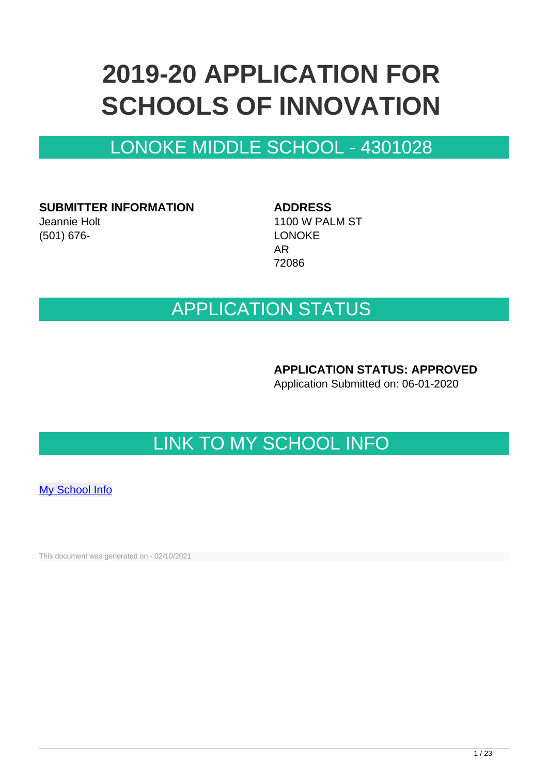# **2019-20 APPLICATION FOR SCHOOLS OF INNOVATION**

## LONOKE MIDDLE SCHOOL - 4301028

**SUBMITTER INFORMATION** Jeannie Holt

(501) 676-

**ADDRESS** 1100 W PALM ST LONOKE AR 72086

### APPLICATION STATUS

**APPLICATION STATUS: APPROVED**

Application Submitted on: 06-01-2020

# LINK TO MY SCHOOL INFO

[My School Info](https://myschoolinfo.arkansas.gov/Schools/Search?OperationContext=None&SearchFlag=School&Query=4301028)

This document was generated on - 02/10/2021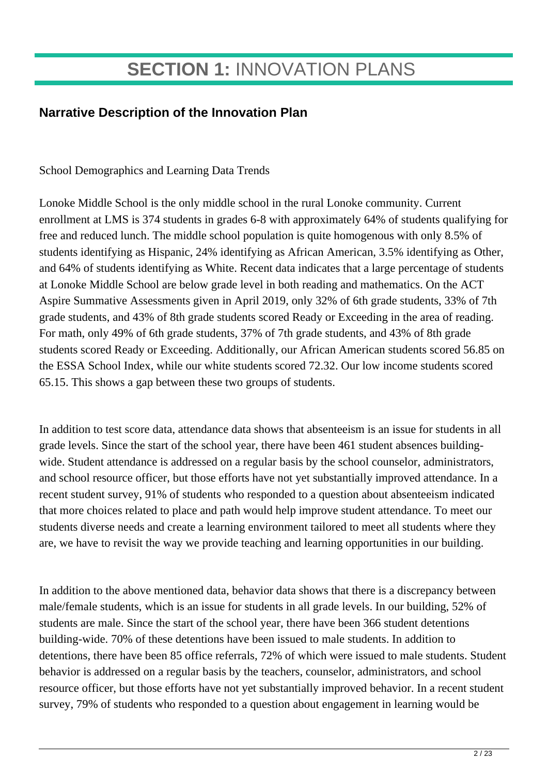# **SECTION 1:** INNOVATION PLANS

### **Narrative Description of the Innovation Plan**

School Demographics and Learning Data Trends

Lonoke Middle School is the only middle school in the rural Lonoke community. Current enrollment at LMS is 374 students in grades 6-8 with approximately 64% of students qualifying for free and reduced lunch. The middle school population is quite homogenous with only 8.5% of students identifying as Hispanic, 24% identifying as African American, 3.5% identifying as Other, and 64% of students identifying as White. Recent data indicates that a large percentage of students at Lonoke Middle School are below grade level in both reading and mathematics. On the ACT Aspire Summative Assessments given in April 2019, only 32% of 6th grade students, 33% of 7th grade students, and 43% of 8th grade students scored Ready or Exceeding in the area of reading. For math, only 49% of 6th grade students, 37% of 7th grade students, and 43% of 8th grade students scored Ready or Exceeding. Additionally, our African American students scored 56.85 on the ESSA School Index, while our white students scored 72.32. Our low income students scored 65.15. This shows a gap between these two groups of students.

In addition to test score data, attendance data shows that absenteeism is an issue for students in all grade levels. Since the start of the school year, there have been 461 student absences buildingwide. Student attendance is addressed on a regular basis by the school counselor, administrators, and school resource officer, but those efforts have not yet substantially improved attendance. In a recent student survey, 91% of students who responded to a question about absenteeism indicated that more choices related to place and path would help improve student attendance. To meet our students diverse needs and create a learning environment tailored to meet all students where they are, we have to revisit the way we provide teaching and learning opportunities in our building.

In addition to the above mentioned data, behavior data shows that there is a discrepancy between male/female students, which is an issue for students in all grade levels. In our building, 52% of students are male. Since the start of the school year, there have been 366 student detentions building-wide. 70% of these detentions have been issued to male students. In addition to detentions, there have been 85 office referrals, 72% of which were issued to male students. Student behavior is addressed on a regular basis by the teachers, counselor, administrators, and school resource officer, but those efforts have not yet substantially improved behavior. In a recent student survey, 79% of students who responded to a question about engagement in learning would be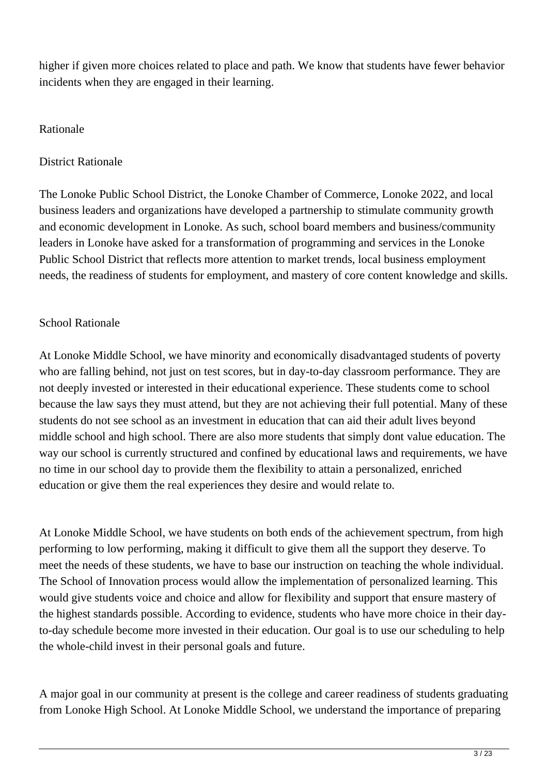higher if given more choices related to place and path. We know that students have fewer behavior incidents when they are engaged in their learning.

#### Rationale

#### District Rationale

The Lonoke Public School District, the Lonoke Chamber of Commerce, Lonoke 2022, and local business leaders and organizations have developed a partnership to stimulate community growth and economic development in Lonoke. As such, school board members and business/community leaders in Lonoke have asked for a transformation of programming and services in the Lonoke Public School District that reflects more attention to market trends, local business employment needs, the readiness of students for employment, and mastery of core content knowledge and skills.

#### School Rationale

At Lonoke Middle School, we have minority and economically disadvantaged students of poverty who are falling behind, not just on test scores, but in day-to-day classroom performance. They are not deeply invested or interested in their educational experience. These students come to school because the law says they must attend, but they are not achieving their full potential. Many of these students do not see school as an investment in education that can aid their adult lives beyond middle school and high school. There are also more students that simply dont value education. The way our school is currently structured and confined by educational laws and requirements, we have no time in our school day to provide them the flexibility to attain a personalized, enriched education or give them the real experiences they desire and would relate to.

At Lonoke Middle School, we have students on both ends of the achievement spectrum, from high performing to low performing, making it difficult to give them all the support they deserve. To meet the needs of these students, we have to base our instruction on teaching the whole individual. The School of Innovation process would allow the implementation of personalized learning. This would give students voice and choice and allow for flexibility and support that ensure mastery of the highest standards possible. According to evidence, students who have more choice in their dayto-day schedule become more invested in their education. Our goal is to use our scheduling to help the whole-child invest in their personal goals and future.

A major goal in our community at present is the college and career readiness of students graduating from Lonoke High School. At Lonoke Middle School, we understand the importance of preparing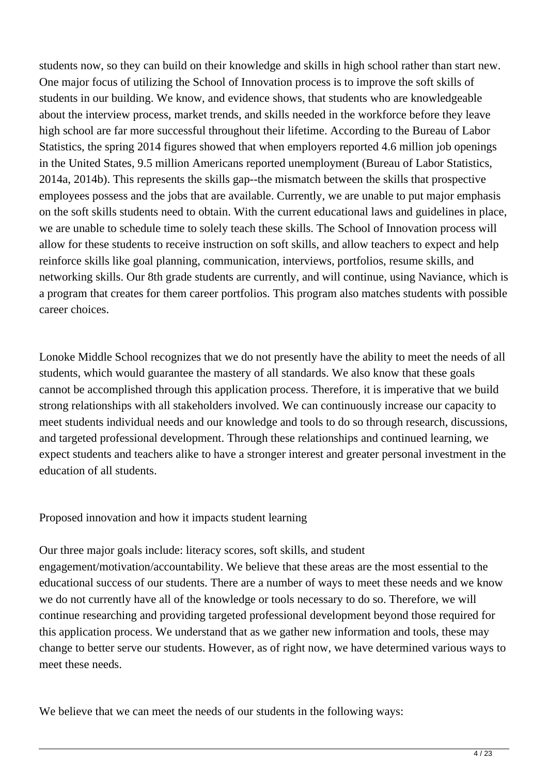students now, so they can build on their knowledge and skills in high school rather than start new. One major focus of utilizing the School of Innovation process is to improve the soft skills of students in our building. We know, and evidence shows, that students who are knowledgeable about the interview process, market trends, and skills needed in the workforce before they leave high school are far more successful throughout their lifetime. According to the Bureau of Labor Statistics, the spring 2014 figures showed that when employers reported 4.6 million job openings in the United States, 9.5 million Americans reported unemployment (Bureau of Labor Statistics, 2014a, 2014b). This represents the skills gap--the mismatch between the skills that prospective employees possess and the jobs that are available. Currently, we are unable to put major emphasis on the soft skills students need to obtain. With the current educational laws and guidelines in place, we are unable to schedule time to solely teach these skills. The School of Innovation process will allow for these students to receive instruction on soft skills, and allow teachers to expect and help reinforce skills like goal planning, communication, interviews, portfolios, resume skills, and networking skills. Our 8th grade students are currently, and will continue, using Naviance, which is a program that creates for them career portfolios. This program also matches students with possible career choices.

Lonoke Middle School recognizes that we do not presently have the ability to meet the needs of all students, which would guarantee the mastery of all standards. We also know that these goals cannot be accomplished through this application process. Therefore, it is imperative that we build strong relationships with all stakeholders involved. We can continuously increase our capacity to meet students individual needs and our knowledge and tools to do so through research, discussions, and targeted professional development. Through these relationships and continued learning, we expect students and teachers alike to have a stronger interest and greater personal investment in the education of all students.

Proposed innovation and how it impacts student learning

Our three major goals include: literacy scores, soft skills, and student engagement/motivation/accountability. We believe that these areas are the most essential to the educational success of our students. There are a number of ways to meet these needs and we know we do not currently have all of the knowledge or tools necessary to do so. Therefore, we will continue researching and providing targeted professional development beyond those required for this application process. We understand that as we gather new information and tools, these may change to better serve our students. However, as of right now, we have determined various ways to meet these needs.

We believe that we can meet the needs of our students in the following ways: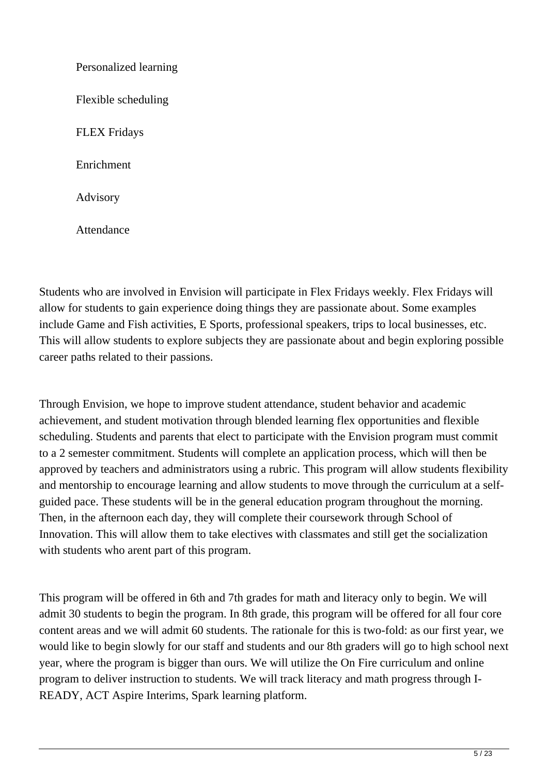Personalized learning Flexible scheduling FLEX Fridays Enrichment Advisory

Attendance

Students who are involved in Envision will participate in Flex Fridays weekly. Flex Fridays will allow for students to gain experience doing things they are passionate about. Some examples include Game and Fish activities, E Sports, professional speakers, trips to local businesses, etc. This will allow students to explore subjects they are passionate about and begin exploring possible career paths related to their passions.

Through Envision, we hope to improve student attendance, student behavior and academic achievement, and student motivation through blended learning flex opportunities and flexible scheduling. Students and parents that elect to participate with the Envision program must commit to a 2 semester commitment. Students will complete an application process, which will then be approved by teachers and administrators using a rubric. This program will allow students flexibility and mentorship to encourage learning and allow students to move through the curriculum at a selfguided pace. These students will be in the general education program throughout the morning. Then, in the afternoon each day, they will complete their coursework through School of Innovation. This will allow them to take electives with classmates and still get the socialization with students who arent part of this program.

This program will be offered in 6th and 7th grades for math and literacy only to begin. We will admit 30 students to begin the program. In 8th grade, this program will be offered for all four core content areas and we will admit 60 students. The rationale for this is two-fold: as our first year, we would like to begin slowly for our staff and students and our 8th graders will go to high school next year, where the program is bigger than ours. We will utilize the On Fire curriculum and online program to deliver instruction to students. We will track literacy and math progress through I-READY, ACT Aspire Interims, Spark learning platform.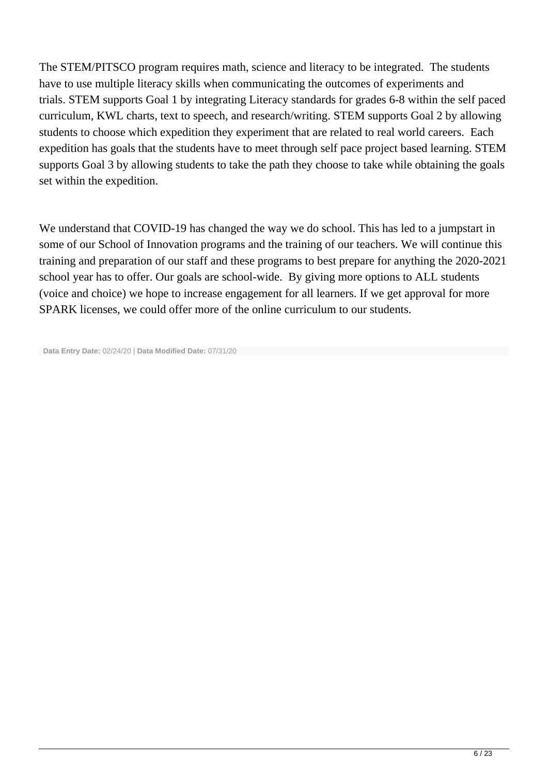The STEM/PITSCO program requires math, science and literacy to be integrated. The students have to use multiple literacy skills when communicating the outcomes of experiments and trials. STEM supports Goal 1 by integrating Literacy standards for grades 6-8 within the self paced curriculum, KWL charts, text to speech, and research/writing. STEM supports Goal 2 by allowing students to choose which expedition they experiment that are related to real world careers. Each expedition has goals that the students have to meet through self pace project based learning. STEM supports Goal 3 by allowing students to take the path they choose to take while obtaining the goals set within the expedition.

We understand that COVID-19 has changed the way we do school. This has led to a jumpstart in some of our School of Innovation programs and the training of our teachers. We will continue this training and preparation of our staff and these programs to best prepare for anything the 2020-2021 school year has to offer. Our goals are school-wide. By giving more options to ALL students (voice and choice) we hope to increase engagement for all learners. If we get approval for more SPARK licenses, we could offer more of the online curriculum to our students.

**Data Entry Date:** 02/24/20 | **Data Modified Date:** 07/31/20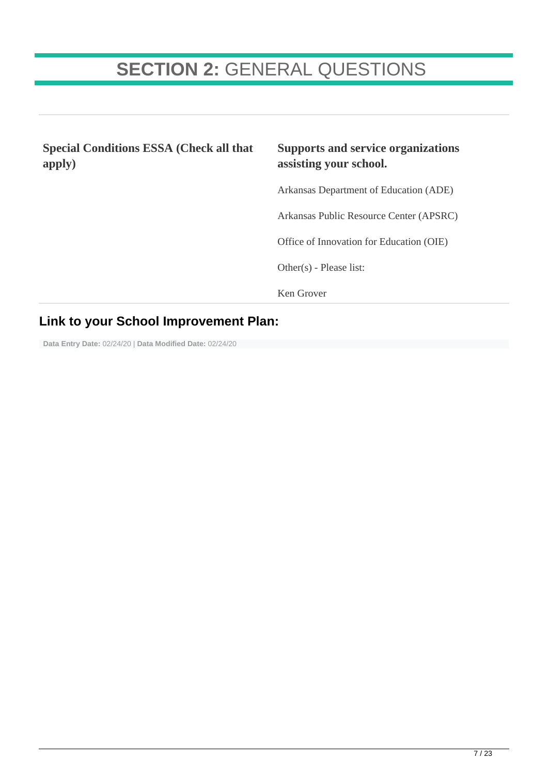# **SECTION 2:** GENERAL QUESTIONS

**Special Conditions ESSA (Check all that apply) Supports and service organizations assisting your school.** Arkansas Department of Education (ADE) Arkansas Public Resource Center (APSRC) Office of Innovation for Education (OIE) Other(s) - Please list: Ken Grover

### **Link to your School Improvement Plan:**

**Data Entry Date:** 02/24/20 | **Data Modified Date:** 02/24/20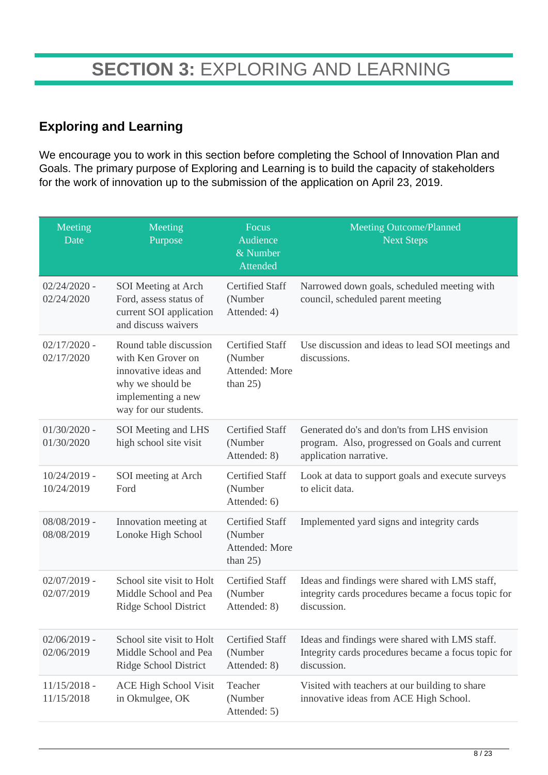### **Exploring and Learning**

We encourage you to work in this section before completing the School of Innovation Plan and Goals. The primary purpose of Exploring and Learning is to build the capacity of stakeholders for the work of innovation up to the submission of the application on April 23, 2019.

| Meeting<br>Date              | Meeting<br>Purpose                                                                                                                      | Focus<br>Audience<br>& Number<br>Attended                          | <b>Meeting Outcome/Planned</b><br><b>Next Steps</b>                                                                     |
|------------------------------|-----------------------------------------------------------------------------------------------------------------------------------------|--------------------------------------------------------------------|-------------------------------------------------------------------------------------------------------------------------|
| $02/24/2020$ -<br>02/24/2020 | SOI Meeting at Arch<br>Ford, assess status of<br>current SOI application<br>and discuss waivers                                         | <b>Certified Staff</b><br>(Number<br>Attended: 4)                  | Narrowed down goals, scheduled meeting with<br>council, scheduled parent meeting                                        |
| $02/17/2020$ -<br>02/17/2020 | Round table discussion<br>with Ken Grover on<br>innovative ideas and<br>why we should be<br>implementing a new<br>way for our students. | <b>Certified Staff</b><br>(Number<br>Attended: More<br>than $25$ ) | Use discussion and ideas to lead SOI meetings and<br>discussions.                                                       |
| $01/30/2020$ -<br>01/30/2020 | SOI Meeting and LHS<br>high school site visit                                                                                           | <b>Certified Staff</b><br>(Number<br>Attended: 8)                  | Generated do's and don'ts from LHS envision<br>program. Also, progressed on Goals and current<br>application narrative. |
| $10/24/2019$ -<br>10/24/2019 | SOI meeting at Arch<br>Ford                                                                                                             | <b>Certified Staff</b><br>(Number<br>Attended: 6)                  | Look at data to support goals and execute surveys<br>to elicit data.                                                    |
| $08/08/2019$ -<br>08/08/2019 | Innovation meeting at<br>Lonoke High School                                                                                             | <b>Certified Staff</b><br>(Number<br>Attended: More<br>than $25$ ) | Implemented yard signs and integrity cards                                                                              |
| $02/07/2019$ -<br>02/07/2019 | School site visit to Holt<br>Middle School and Pea<br>Ridge School District                                                             | <b>Certified Staff</b><br>(Number<br>Attended: 8)                  | Ideas and findings were shared with LMS staff,<br>integrity cards procedures became a focus topic for<br>discussion.    |
| $02/06/2019$ -<br>02/06/2019 | School site visit to Holt<br>Middle School and Pea<br>Ridge School District                                                             | <b>Certified Staff</b><br>(Number<br>Attended: 8)                  | Ideas and findings were shared with LMS staff.<br>Integrity cards procedures became a focus topic for<br>discussion.    |
| $11/15/2018$ -<br>11/15/2018 | <b>ACE High School Visit</b><br>in Okmulgee, OK                                                                                         | Teacher<br>(Number<br>Attended: 5)                                 | Visited with teachers at our building to share<br>innovative ideas from ACE High School.                                |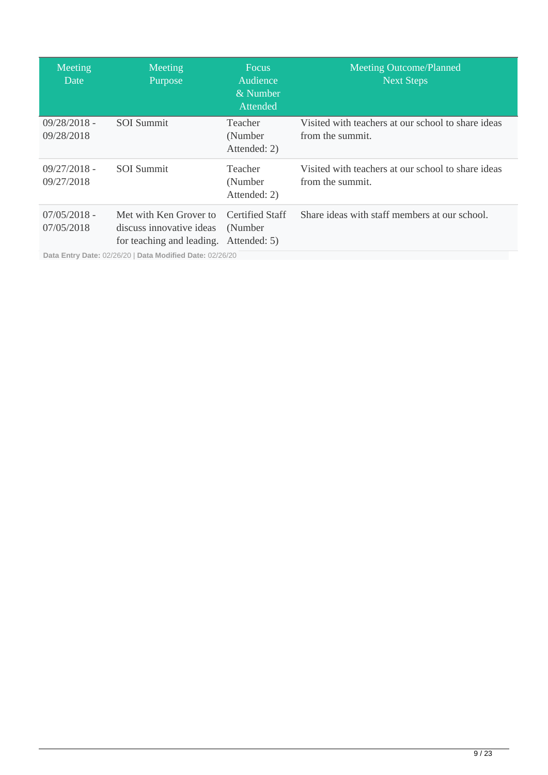| Meeting<br>Date              | Meeting<br>Purpose                                                              | <b>Focus</b><br>Audience<br>& Number<br>Attended   | <b>Meeting Outcome/Planned</b><br><b>Next Steps</b>                    |
|------------------------------|---------------------------------------------------------------------------------|----------------------------------------------------|------------------------------------------------------------------------|
| $09/28/2018 -$<br>09/28/2018 | <b>SOI</b> Summit                                                               | <b>Teacher</b><br>(Number)<br>Attended: 2)         | Visited with teachers at our school to share ideas<br>from the summit. |
| $09/27/2018 -$<br>09/27/2018 | <b>SOI</b> Summit                                                               | Teacher<br>(Number<br>Attended: 2)                 | Visited with teachers at our school to share ideas<br>from the summit. |
| $07/05/2018$ -<br>07/05/2018 | Met with Ken Grover to<br>discuss innovative ideas<br>for teaching and leading. | <b>Certified Staff</b><br>(Number)<br>Attended: 5) | Share ideas with staff members at our school.                          |
|                              | Data Entry Date: 02/26/20   Data Modified Date: 02/26/20                        |                                                    |                                                                        |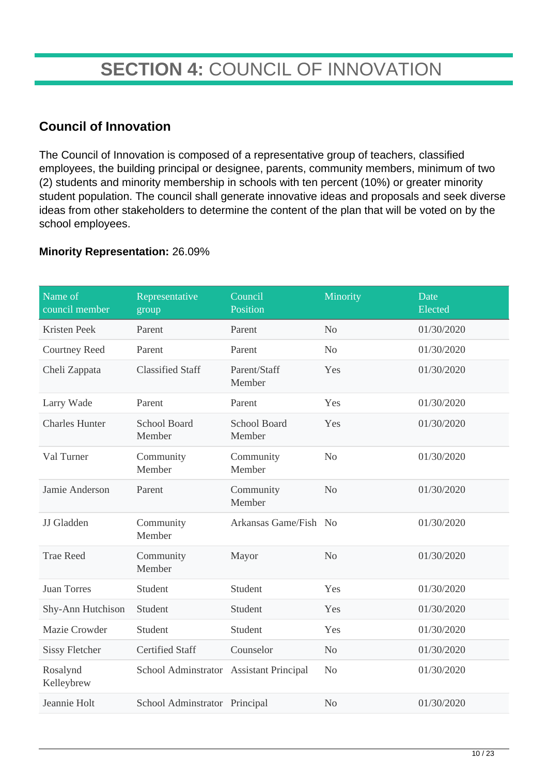# **SECTION 4:** COUNCIL OF INNOVATION

### **Council of Innovation**

The Council of Innovation is composed of a representative group of teachers, classified employees, the building principal or designee, parents, community members, minimum of two (2) students and minority membership in schools with ten percent (10%) or greater minority student population. The council shall generate innovative ideas and proposals and seek diverse ideas from other stakeholders to determine the content of the plan that will be voted on by the school employees.

#### **Minority Representation:** 26.09%

| Name of<br>council member | Representative<br>group                 | Council<br>Position           | Minority       | Date<br>Elected |
|---------------------------|-----------------------------------------|-------------------------------|----------------|-----------------|
| Kristen Peek              | Parent                                  | Parent                        | N <sub>o</sub> | 01/30/2020      |
| <b>Courtney Reed</b>      | Parent                                  | Parent                        | N <sub>o</sub> | 01/30/2020      |
| Cheli Zappata             | <b>Classified Staff</b>                 | Parent/Staff<br>Member        | Yes            | 01/30/2020      |
| Larry Wade                | Parent                                  | Parent                        | Yes            | 01/30/2020      |
| <b>Charles Hunter</b>     | <b>School Board</b><br>Member           | <b>School Board</b><br>Member | Yes            | 01/30/2020      |
| Val Turner                | Community<br>Member                     | Community<br>Member           | N <sub>o</sub> | 01/30/2020      |
| Jamie Anderson            | Parent                                  | Community<br>Member           | N <sub>o</sub> | 01/30/2020      |
| JJ Gladden                | Community<br>Member                     | Arkansas Game/Fish No         |                | 01/30/2020      |
| <b>Trae Reed</b>          | Community<br>Member                     | Mayor                         | N <sub>o</sub> | 01/30/2020      |
| <b>Juan Torres</b>        | Student                                 | Student                       | Yes            | 01/30/2020      |
| Shy-Ann Hutchison         | Student                                 | Student                       | Yes            | 01/30/2020      |
| Mazie Crowder             | Student                                 | Student                       | Yes            | 01/30/2020      |
| <b>Sissy Fletcher</b>     | <b>Certified Staff</b>                  | Counselor                     | No             | 01/30/2020      |
| Rosalynd<br>Kelleybrew    | School Adminstrator Assistant Principal |                               | No             | 01/30/2020      |
| Jeannie Holt              | School Adminstrator Principal           |                               | N <sub>o</sub> | 01/30/2020      |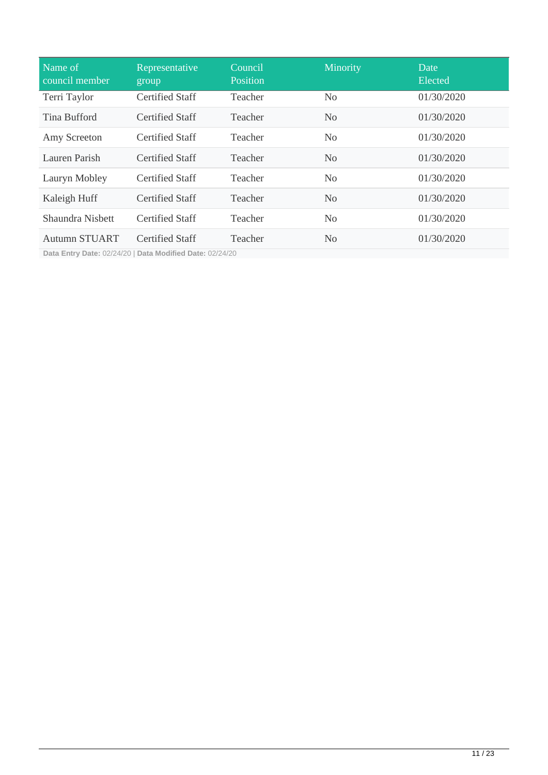| Name of<br>council member | Representative<br>group | Council,<br>Position | Minority       | Date<br>Elected |
|---------------------------|-------------------------|----------------------|----------------|-----------------|
| Terri Taylor              | <b>Certified Staff</b>  | Teacher              | N <sub>0</sub> | 01/30/2020      |
| <b>Tina Bufford</b>       | <b>Certified Staff</b>  | Teacher              | N <sub>0</sub> | 01/30/2020      |
| Amy Screeton              | Certified Staff         | Teacher              | N <sub>0</sub> | 01/30/2020      |
| Lauren Parish             | <b>Certified Staff</b>  | Teacher              | N <sub>0</sub> | 01/30/2020      |
| Lauryn Mobley             | <b>Certified Staff</b>  | Teacher              | N <sub>0</sub> | 01/30/2020      |
| Kaleigh Huff              | <b>Certified Staff</b>  | Teacher              | N <sub>0</sub> | 01/30/2020      |
| Shaundra Nisbett          | Certified Staff         | Teacher              | N <sub>0</sub> | 01/30/2020      |
| <b>Autumn STUART</b>      | <b>Certified Staff</b>  | Teacher              | N <sub>0</sub> | 01/30/2020      |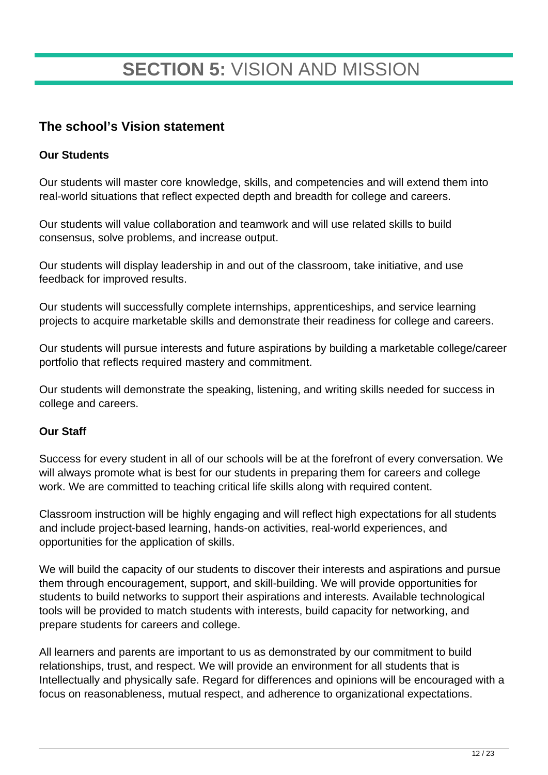# **SECTION 5:** VISION AND MISSION

### **The school's Vision statement**

#### **Our Students**

Our students will master core knowledge, skills, and competencies and will extend them into real-world situations that reflect expected depth and breadth for college and careers.

Our students will value collaboration and teamwork and will use related skills to build consensus, solve problems, and increase output.

Our students will display leadership in and out of the classroom, take initiative, and use feedback for improved results.

Our students will successfully complete internships, apprenticeships, and service learning projects to acquire marketable skills and demonstrate their readiness for college and careers.

Our students will pursue interests and future aspirations by building a marketable college/career portfolio that reflects required mastery and commitment.

Our students will demonstrate the speaking, listening, and writing skills needed for success in college and careers.

#### **Our Staff**

Success for every student in all of our schools will be at the forefront of every conversation. We will always promote what is best for our students in preparing them for careers and college work. We are committed to teaching critical life skills along with required content.

Classroom instruction will be highly engaging and will reflect high expectations for all students and include project-based learning, hands-on activities, real-world experiences, and opportunities for the application of skills.

We will build the capacity of our students to discover their interests and aspirations and pursue them through encouragement, support, and skill-building. We will provide opportunities for students to build networks to support their aspirations and interests. Available technological tools will be provided to match students with interests, build capacity for networking, and prepare students for careers and college.

All learners and parents are important to us as demonstrated by our commitment to build relationships, trust, and respect. We will provide an environment for all students that is Intellectually and physically safe. Regard for differences and opinions will be encouraged with a focus on reasonableness, mutual respect, and adherence to organizational expectations.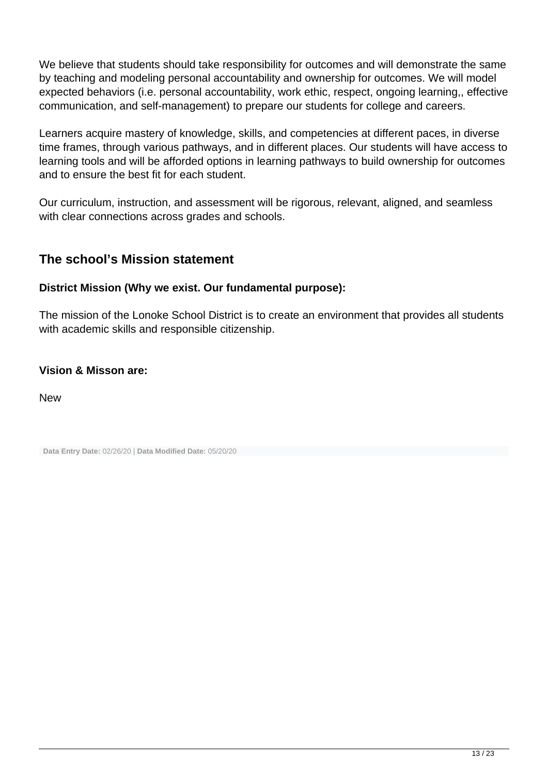We believe that students should take responsibility for outcomes and will demonstrate the same by teaching and modeling personal accountability and ownership for outcomes. We will model expected behaviors (i.e. personal accountability, work ethic, respect, ongoing learning,, effective communication, and self-management) to prepare our students for college and careers.

Learners acquire mastery of knowledge, skills, and competencies at different paces, in diverse time frames, through various pathways, and in different places. Our students will have access to learning tools and will be afforded options in learning pathways to build ownership for outcomes and to ensure the best fit for each student.

Our curriculum, instruction, and assessment will be rigorous, relevant, aligned, and seamless with clear connections across grades and schools.

### **The school's Mission statement**

#### **District Mission (Why we exist. Our fundamental purpose):**

The mission of the Lonoke School District is to create an environment that provides all students with academic skills and responsible citizenship.

#### **Vision & Misson are:**

New

**Data Entry Date:** 02/26/20 | **Data Modified Date:** 05/20/20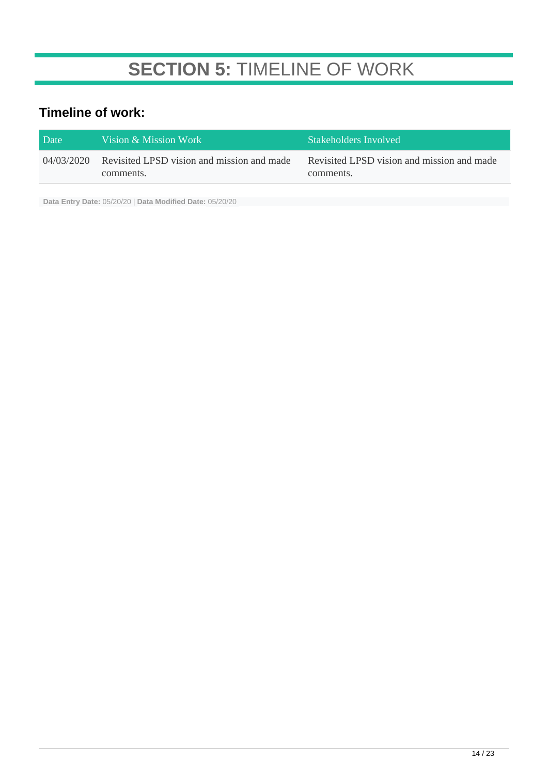# **SECTION 5:** TIMELINE OF WORK

### **Timeline of work:**

| Date       | Vision & Mission Work                                   | Stakeholders Involved                                   |
|------------|---------------------------------------------------------|---------------------------------------------------------|
| 04/03/2020 | Revisited LPSD vision and mission and made<br>comments. | Revisited LPSD vision and mission and made<br>comments. |

**Data Entry Date:** 05/20/20 | **Data Modified Date:** 05/20/20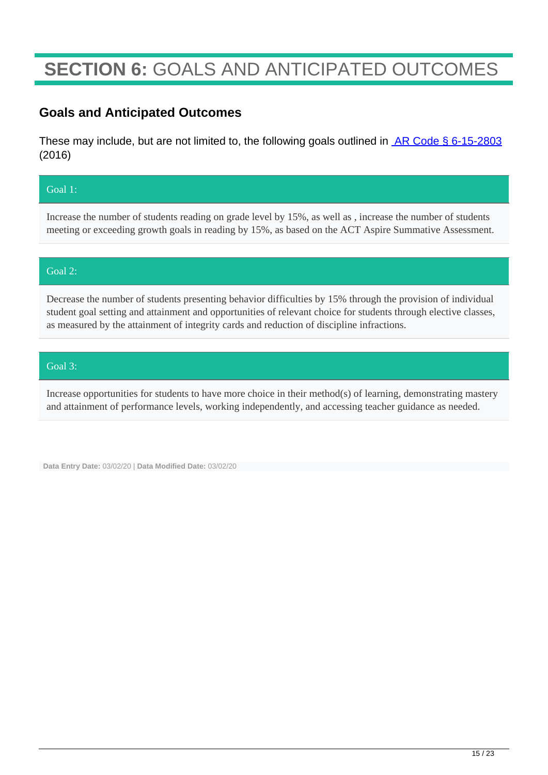# **SECTION 6:** GOALS AND ANTICIPATED OUTCOMES

### **Goals and Anticipated Outcomes**

These may include, but are not limited to, the following goals outlined in **AR Code § 6-15-2803** (2016)

#### Goal 1:

Increase the number of students reading on grade level by 15%, as well as , increase the number of students meeting or exceeding growth goals in reading by 15%, as based on the ACT Aspire Summative Assessment.

#### Goal 2:

Decrease the number of students presenting behavior difficulties by 15% through the provision of individual student goal setting and attainment and opportunities of relevant choice for students through elective classes, as measured by the attainment of integrity cards and reduction of discipline infractions.

#### Goal 3:

Increase opportunities for students to have more choice in their method(s) of learning, demonstrating mastery and attainment of performance levels, working independently, and accessing teacher guidance as needed.

**Data Entry Date:** 03/02/20 | **Data Modified Date:** 03/02/20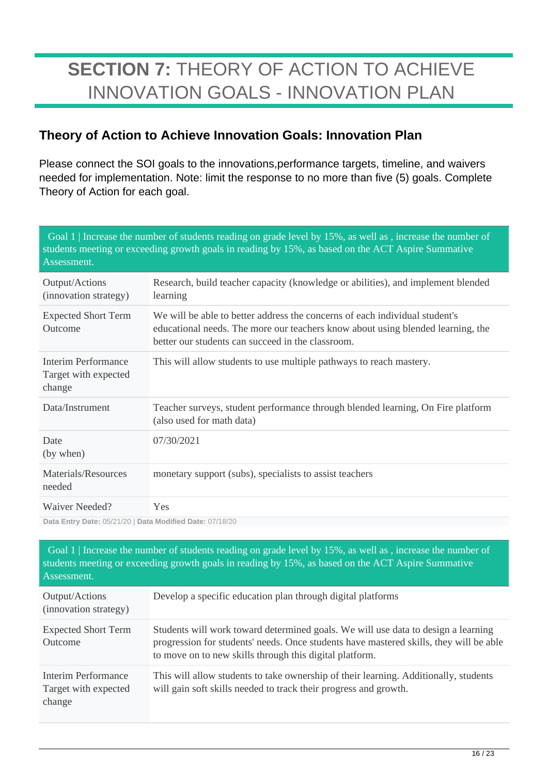# **SECTION 7:** THEORY OF ACTION TO ACHIEVE INNOVATION GOALS - INNOVATION PLAN

### **Theory of Action to Achieve Innovation Goals: Innovation Plan**

Please connect the SOI goals to the innovations,performance targets, timeline, and waivers needed for implementation. Note: limit the response to no more than five (5) goals. Complete Theory of Action for each goal.

| Goal 1   Increase the number of students reading on grade level by 15%, as well as, increase the number of<br>students meeting or exceeding growth goals in reading by 15%, as based on the ACT Aspire Summative<br>Assessment. |                                                                                                                                                                                                                     |  |
|---------------------------------------------------------------------------------------------------------------------------------------------------------------------------------------------------------------------------------|---------------------------------------------------------------------------------------------------------------------------------------------------------------------------------------------------------------------|--|
| Output/Actions<br>(innovation strategy)                                                                                                                                                                                         | Research, build teacher capacity (knowledge or abilities), and implement blended<br>learning                                                                                                                        |  |
| <b>Expected Short Term</b><br>Outcome                                                                                                                                                                                           | We will be able to better address the concerns of each individual student's<br>educational needs. The more our teachers know about using blended learning, the<br>better our students can succeed in the classroom. |  |
| <b>Interim Performance</b><br>Target with expected<br>change                                                                                                                                                                    | This will allow students to use multiple pathways to reach mastery.                                                                                                                                                 |  |
| Data/Instrument                                                                                                                                                                                                                 | Teacher surveys, student performance through blended learning, On Fire platform<br>(also used for math data)                                                                                                        |  |
| Date<br>(by when)                                                                                                                                                                                                               | 07/30/2021                                                                                                                                                                                                          |  |
| Materials/Resources<br>needed                                                                                                                                                                                                   | monetary support (subs), specialists to assist teachers                                                                                                                                                             |  |
| Waiver Needed?                                                                                                                                                                                                                  | Yes                                                                                                                                                                                                                 |  |
| Data Entry Date: 05/21/20   Data Modified Date: 07/18/20                                                                                                                                                                        |                                                                                                                                                                                                                     |  |

| Assessment.                                           | Goal 1   Increase the number of students reading on grade level by 15%, as well as, increase the number of<br>students meeting or exceeding growth goals in reading by 15%, as based on the ACT Aspire Summative                       |
|-------------------------------------------------------|----------------------------------------------------------------------------------------------------------------------------------------------------------------------------------------------------------------------------------------|
| Output/Actions<br>(innovation strategy)               | Develop a specific education plan through digital platforms                                                                                                                                                                            |
| <b>Expected Short Term</b><br>Outcome                 | Students will work toward determined goals. We will use data to design a learning<br>progression for students' needs. Once students have mastered skills, they will be able<br>to move on to new skills through this digital platform. |
| Interim Performance<br>Target with expected<br>change | This will allow students to take ownership of their learning. Additionally, students<br>will gain soft skills needed to track their progress and growth.                                                                               |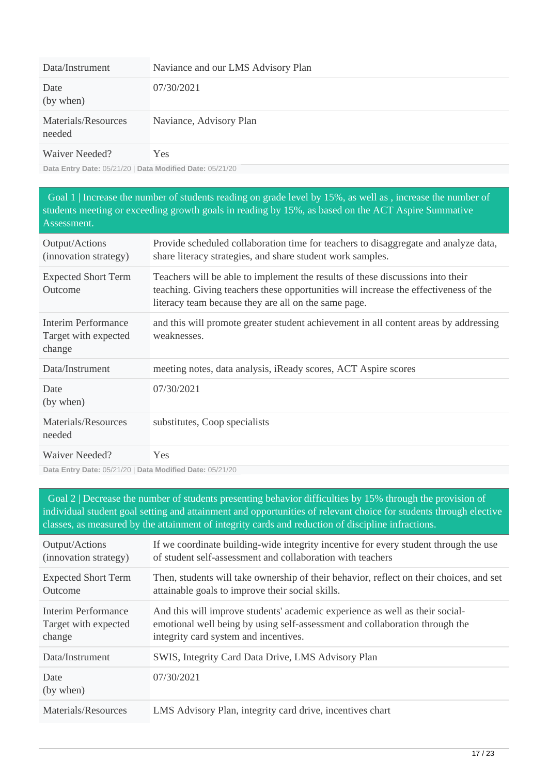| Data/Instrument               | Naviance and our LMS Advisory Plan |
|-------------------------------|------------------------------------|
| Date<br>(by when)             | 07/30/2021                         |
| Materials/Resources<br>needed | Naviance, Advisory Plan            |
| Waiver Needed?                | Yes                                |

 Goal 1 | Increase the number of students reading on grade level by 15%, as well as , increase the number of students meeting or exceeding growth goals in reading by 15%, as based on the ACT Aspire Summative Assessment.

| Output/Actions<br>(innovation strategy)               | Provide scheduled collaboration time for teachers to disaggregate and analyze data,<br>share literacy strategies, and share student work samples.                                                                              |
|-------------------------------------------------------|--------------------------------------------------------------------------------------------------------------------------------------------------------------------------------------------------------------------------------|
| <b>Expected Short Term</b><br>Outcome                 | Teachers will be able to implement the results of these discussions into their<br>teaching. Giving teachers these opportunities will increase the effectiveness of the<br>literacy team because they are all on the same page. |
| Interim Performance<br>Target with expected<br>change | and this will promote greater student achievement in all content areas by addressing<br>weaknesses.                                                                                                                            |
| Data/Instrument                                       | meeting notes, data analysis, iReady scores, ACT Aspire scores                                                                                                                                                                 |
| Date<br>(by when)                                     | 07/30/2021                                                                                                                                                                                                                     |
| Materials/Resources<br>needed                         | substitutes, Coop specialists                                                                                                                                                                                                  |
| Waiver Needed?                                        | <b>Yes</b>                                                                                                                                                                                                                     |

**Data Entry Date:** 05/21/20 | **Data Modified Date:** 05/21/20

 Goal 2 | Decrease the number of students presenting behavior difficulties by 15% through the provision of individual student goal setting and attainment and opportunities of relevant choice for students through elective classes, as measured by the attainment of integrity cards and reduction of discipline infractions.

| Output/Actions             | If we coordinate building-wide integrity incentive for every student through the use    |
|----------------------------|-----------------------------------------------------------------------------------------|
| (innovation strategy)      | of student self-assessment and collaboration with teachers                              |
| <b>Expected Short Term</b> | Then, students will take ownership of their behavior, reflect on their choices, and set |
| Outcome                    | attainable goals to improve their social skills.                                        |
| Interim Performance        | And this will improve students' academic experience as well as their social-            |
| Target with expected       | emotional well being by using self-assessment and collaboration through the             |
| change                     | integrity card system and incentives.                                                   |
| Data/Instrument            | SWIS, Integrity Card Data Drive, LMS Advisory Plan                                      |
| Date<br>(by when)          | 07/30/2021                                                                              |
| Materials/Resources        | LMS Advisory Plan, integrity card drive, incentives chart                               |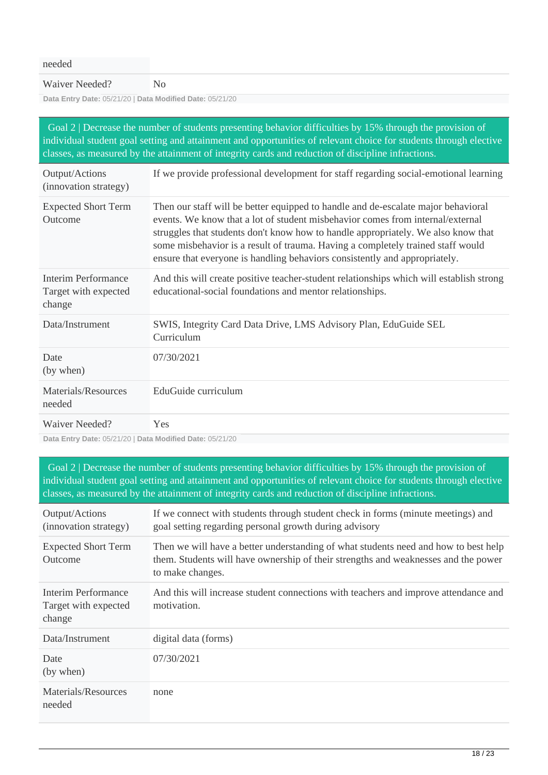| needed                                                   |                                                                                                                                                                                                                                                                                                                                                                                                                           |
|----------------------------------------------------------|---------------------------------------------------------------------------------------------------------------------------------------------------------------------------------------------------------------------------------------------------------------------------------------------------------------------------------------------------------------------------------------------------------------------------|
| Waiver Needed?                                           | N <sub>0</sub>                                                                                                                                                                                                                                                                                                                                                                                                            |
| Data Entry Date: 05/21/20   Data Modified Date: 05/21/20 |                                                                                                                                                                                                                                                                                                                                                                                                                           |
|                                                          | Goal 2   Decrease the number of students presenting behavior difficulties by 15% through the provision of<br>individual student goal setting and attainment and opportunities of relevant choice for students through elective<br>classes, as measured by the attainment of integrity cards and reduction of discipline infractions.                                                                                      |
| Output/Actions<br>(innovation strategy)                  | If we provide professional development for staff regarding social-emotional learning                                                                                                                                                                                                                                                                                                                                      |
| <b>Expected Short Term</b><br>Outcome                    | Then our staff will be better equipped to handle and de-escalate major behavioral<br>events. We know that a lot of student misbehavior comes from internal/external<br>struggles that students don't know how to handle appropriately. We also know that<br>some misbehavior is a result of trauma. Having a completely trained staff would<br>ensure that everyone is handling behaviors consistently and appropriately. |
| Interim Performance<br>Target with expected<br>change    | And this will create positive teacher-student relationships which will establish strong<br>educational-social foundations and mentor relationships.                                                                                                                                                                                                                                                                       |
| Data/Instrument                                          | SWIS, Integrity Card Data Drive, LMS Advisory Plan, EduGuide SEL<br>Curriculum                                                                                                                                                                                                                                                                                                                                            |
| Date<br>(by when)                                        | 07/30/2021                                                                                                                                                                                                                                                                                                                                                                                                                |
| Materials/Resources<br>needed                            | EduGuide curriculum                                                                                                                                                                                                                                                                                                                                                                                                       |
| Waiver Needed?                                           | Yes                                                                                                                                                                                                                                                                                                                                                                                                                       |

 Goal 2 | Decrease the number of students presenting behavior difficulties by 15% through the provision of individual student goal setting and attainment and opportunities of relevant choice for students through elective classes, as measured by the attainment of integrity cards and reduction of discipline infractions.

| Output/Actions<br>(innovation strategy)               | If we connect with students through student check in forms (minute meetings) and<br>goal setting regarding personal growth during advisory                                                    |
|-------------------------------------------------------|-----------------------------------------------------------------------------------------------------------------------------------------------------------------------------------------------|
| <b>Expected Short Term</b><br>Outcome                 | Then we will have a better understanding of what students need and how to best help<br>them. Students will have ownership of their strengths and weaknesses and the power<br>to make changes. |
| Interim Performance<br>Target with expected<br>change | And this will increase student connections with teachers and improve attendance and<br>motivation.                                                                                            |
| Data/Instrument                                       | digital data (forms)                                                                                                                                                                          |
| Date<br>(by when)                                     | 07/30/2021                                                                                                                                                                                    |
| Materials/Resources<br>needed                         | none                                                                                                                                                                                          |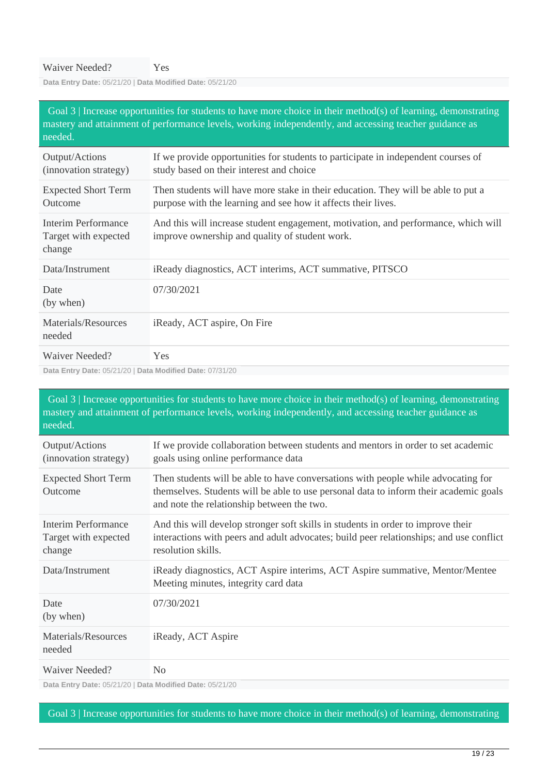| Goal $3$   Increase opportunities for students to have more choice in their method(s) of learning, demonstrating<br>mastery and attainment of performance levels, working independently, and accessing teacher guidance as<br>needed.                                                                                                                                                                                                                   |                                                                                                                                                    |  |  |
|---------------------------------------------------------------------------------------------------------------------------------------------------------------------------------------------------------------------------------------------------------------------------------------------------------------------------------------------------------------------------------------------------------------------------------------------------------|----------------------------------------------------------------------------------------------------------------------------------------------------|--|--|
| Output/Actions<br>(innovation strategy)                                                                                                                                                                                                                                                                                                                                                                                                                 | If we provide opportunities for students to participate in independent courses of<br>study based on their interest and choice                      |  |  |
| <b>Expected Short Term</b><br>Outcome                                                                                                                                                                                                                                                                                                                                                                                                                   | Then students will have more stake in their education. They will be able to put a<br>purpose with the learning and see how it affects their lives. |  |  |
| <b>Interim Performance</b><br>Target with expected<br>change                                                                                                                                                                                                                                                                                                                                                                                            | And this will increase student engagement, motivation, and performance, which will<br>improve ownership and quality of student work.               |  |  |
| Data/Instrument                                                                                                                                                                                                                                                                                                                                                                                                                                         | iReady diagnostics, ACT interims, ACT summative, PITSCO                                                                                            |  |  |
| Date<br>(by when)                                                                                                                                                                                                                                                                                                                                                                                                                                       | 07/30/2021                                                                                                                                         |  |  |
| Materials/Resources<br>needed                                                                                                                                                                                                                                                                                                                                                                                                                           | iReady, ACT aspire, On Fire                                                                                                                        |  |  |
| Waiver Needed?<br>$\mathbb{R}$ $\rightarrow$ $\mathbb{R}$ $\rightarrow$ $\mathbb{R}$ $\rightarrow$ $\mathbb{R}$ $\rightarrow$ $\mathbb{R}$ $\rightarrow$ $\mathbb{R}$ $\rightarrow$ $\mathbb{R}$ $\rightarrow$ $\mathbb{R}$ $\rightarrow$ $\mathbb{R}$ $\rightarrow$ $\mathbb{R}$ $\rightarrow$ $\mathbb{R}$ $\rightarrow$ $\mathbb{R}$ $\rightarrow$ $\mathbb{R}$ $\rightarrow$ $\mathbb{R}$ $\rightarrow$ $\mathbb{R}$ $\rightarrow$ $\mathbb{R}$ $\$ | <b>Yes</b>                                                                                                                                         |  |  |

**Data Entry Date:** 05/21/20 | **Data Modified Date:** 07/31/20

 Goal 3 | Increase opportunities for students to have more choice in their method(s) of learning, demonstrating mastery and attainment of performance levels, working independently, and accessing teacher guidance as needed. Output/Actions (innovation strategy) If we provide collaboration between students and mentors in order to set academic goals using online performance data Expected Short Term Outcome Then students will be able to have conversations with people while advocating for themselves. Students will be able to use personal data to inform their academic goals and note the relationship between the two. Interim Performance Target with expected change And this will develop stronger soft skills in students in order to improve their interactions with peers and adult advocates; build peer relationships; and use conflict resolution skills. Data/Instrument iReady diagnostics, ACT Aspire interims, ACT Aspire summative, Mentor/Mentee Meeting minutes, integrity card data Date (by when) 07/30/2021 Materials/Resources needed iReady, ACT Aspire Waiver Needed? No

**Data Entry Date:** 05/21/20 | **Data Modified Date:** 05/21/20

Goal 3 | Increase opportunities for students to have more choice in their method(s) of learning, demonstrating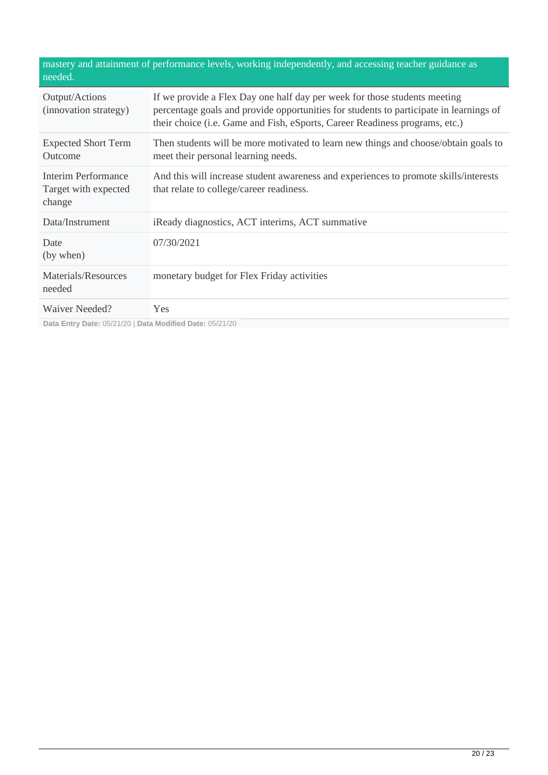| mastery and attainment of performance levels, working independently, and accessing teacher guidance as<br>needed. |                                                                                                                                                                                                                                                    |  |  |
|-------------------------------------------------------------------------------------------------------------------|----------------------------------------------------------------------------------------------------------------------------------------------------------------------------------------------------------------------------------------------------|--|--|
| Output/Actions<br>(innovation strategy)                                                                           | If we provide a Flex Day one half day per week for those students meeting<br>percentage goals and provide opportunities for students to participate in learnings of<br>their choice (i.e. Game and Fish, eSports, Career Readiness programs, etc.) |  |  |
| <b>Expected Short Term</b><br>Outcome                                                                             | Then students will be more motivated to learn new things and choose/obtain goals to<br>meet their personal learning needs.                                                                                                                         |  |  |
| Interim Performance<br>Target with expected<br>change                                                             | And this will increase student awareness and experiences to promote skills/interests<br>that relate to college/career readiness.                                                                                                                   |  |  |
| Data/Instrument                                                                                                   | iReady diagnostics, ACT interims, ACT summative                                                                                                                                                                                                    |  |  |
| Date<br>(by when)                                                                                                 | 07/30/2021                                                                                                                                                                                                                                         |  |  |
| Materials/Resources<br>needed                                                                                     | monetary budget for Flex Friday activities                                                                                                                                                                                                         |  |  |
| Waiver Needed?                                                                                                    | Yes                                                                                                                                                                                                                                                |  |  |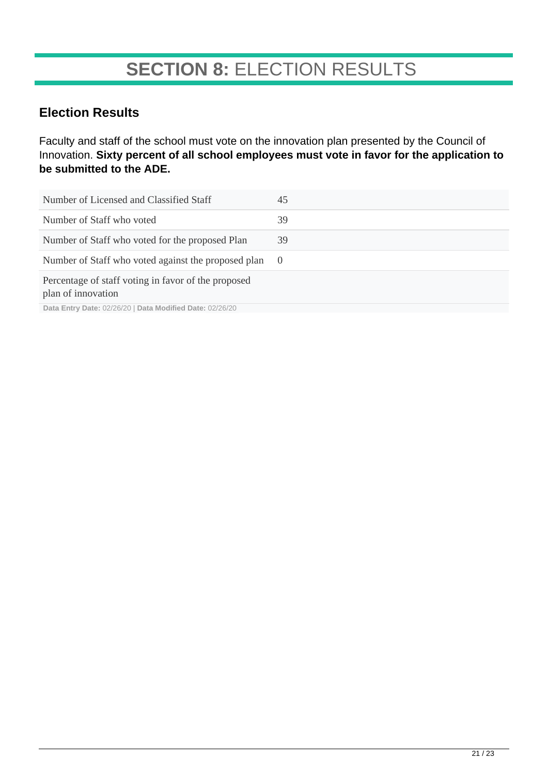# **SECTION 8:** ELECTION RESULTS

### **Election Results**

Faculty and staff of the school must vote on the innovation plan presented by the Council of Innovation. **Sixty percent of all school employees must vote in favor for the application to be submitted to the ADE.**

| Number of Licensed and Classified Staff                                                                                                | 45         |
|----------------------------------------------------------------------------------------------------------------------------------------|------------|
| Number of Staff who voted                                                                                                              | 39         |
| Number of Staff who voted for the proposed Plan                                                                                        | 39         |
| Number of Staff who voted against the proposed plan                                                                                    | $\bigcirc$ |
| Percentage of staff voting in favor of the proposed<br>plan of innovation<br>Bets Futur Bets, 00/00/00   Bets Madifical Bets, 00/00/00 |            |

**Data Entry Date:** 02/26/20 | **Data Modified Date:** 02/26/20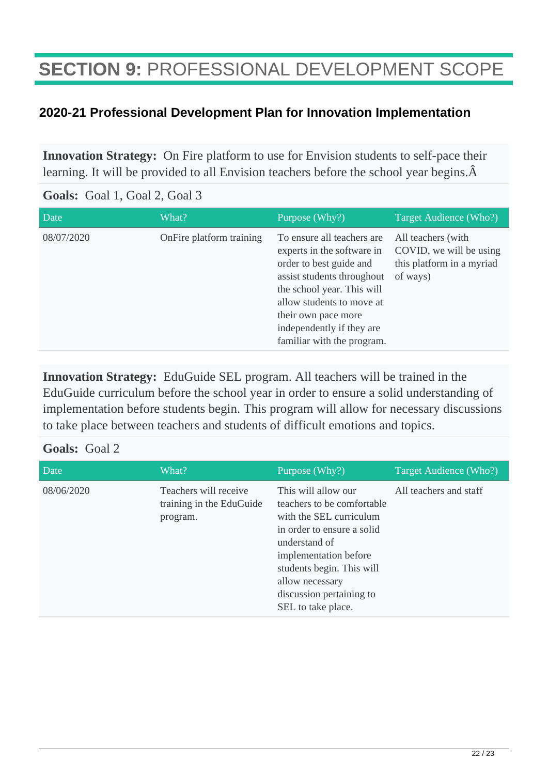# **SECTION 9:** PROFESSIONAL DEVELOPMENT SCOPE

### **2020-21 Professional Development Plan for Innovation Implementation**

**Innovation Strategy:** On Fire platform to use for Envision students to self-pace their learning. It will be provided to all Envision teachers before the school year begins.  $\hat{A}$ 

#### **Goals:** Goal 1, Goal 2, Goal 3

| Date       | What?                    | Purpose (Why?)                                                                                                                                                                                                                                                  | Target Audience (Who?)                                                                 |
|------------|--------------------------|-----------------------------------------------------------------------------------------------------------------------------------------------------------------------------------------------------------------------------------------------------------------|----------------------------------------------------------------------------------------|
| 08/07/2020 | OnFire platform training | To ensure all teachers are.<br>experts in the software in<br>order to best guide and<br>assist students throughout<br>the school year. This will<br>allow students to move at<br>their own pace more<br>independently if they are<br>familiar with the program. | All teachers (with<br>COVID, we will be using<br>this platform in a myriad<br>of ways) |

**Innovation Strategy:** EduGuide SEL program. All teachers will be trained in the EduGuide curriculum before the school year in order to ensure a solid understanding of implementation before students begin. This program will allow for necessary discussions to take place between teachers and students of difficult emotions and topics.

#### **Goals:** Goal 2

| Date       | What?                                                         | Purpose (Why?)                                                                                                                                                                                                                                         | Target Audience (Who?) |
|------------|---------------------------------------------------------------|--------------------------------------------------------------------------------------------------------------------------------------------------------------------------------------------------------------------------------------------------------|------------------------|
| 08/06/2020 | Teachers will receive<br>training in the EduGuide<br>program. | This will allow our<br>teachers to be comfortable<br>with the SEL curriculum<br>in order to ensure a solid<br>understand of<br>implementation before<br>students begin. This will<br>allow necessary<br>discussion pertaining to<br>SEL to take place. | All teachers and staff |